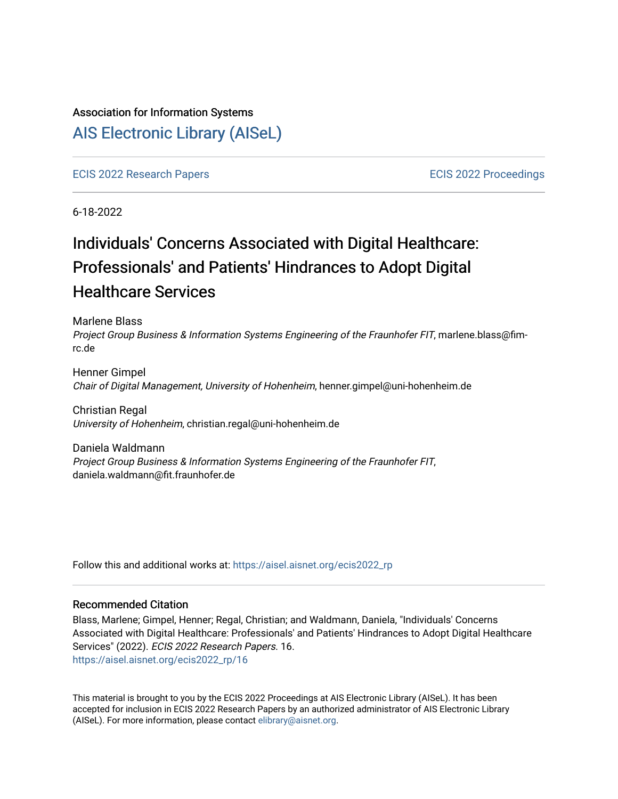### Association for Information Systems

# [AIS Electronic Library \(AISeL\)](https://aisel.aisnet.org/)

[ECIS 2022 Research Papers](https://aisel.aisnet.org/ecis2022_rp) [ECIS 2022 Proceedings](https://aisel.aisnet.org/ecis2022) 

6-18-2022

# Individuals' Concerns Associated with Digital Healthcare: Professionals' and Patients' Hindrances to Adopt Digital Healthcare Services

Marlene Blass Project Group Business & Information Systems Engineering of the Fraunhofer FIT, marlene.blass@fimrc.de

Henner Gimpel Chair of Digital Management, University of Hohenheim, henner.gimpel@uni-hohenheim.de

Christian Regal University of Hohenheim, christian.regal@uni-hohenheim.de

Daniela Waldmann Project Group Business & Information Systems Engineering of the Fraunhofer FIT, daniela.waldmann@fit.fraunhofer.de

Follow this and additional works at: [https://aisel.aisnet.org/ecis2022\\_rp](https://aisel.aisnet.org/ecis2022_rp?utm_source=aisel.aisnet.org%2Fecis2022_rp%2F16&utm_medium=PDF&utm_campaign=PDFCoverPages)

#### Recommended Citation

Blass, Marlene; Gimpel, Henner; Regal, Christian; and Waldmann, Daniela, "Individuals' Concerns Associated with Digital Healthcare: Professionals' and Patients' Hindrances to Adopt Digital Healthcare Services" (2022). ECIS 2022 Research Papers. 16. [https://aisel.aisnet.org/ecis2022\\_rp/16](https://aisel.aisnet.org/ecis2022_rp/16?utm_source=aisel.aisnet.org%2Fecis2022_rp%2F16&utm_medium=PDF&utm_campaign=PDFCoverPages) 

This material is brought to you by the ECIS 2022 Proceedings at AIS Electronic Library (AISeL). It has been accepted for inclusion in ECIS 2022 Research Papers by an authorized administrator of AIS Electronic Library (AISeL). For more information, please contact [elibrary@aisnet.org](mailto:elibrary@aisnet.org%3E).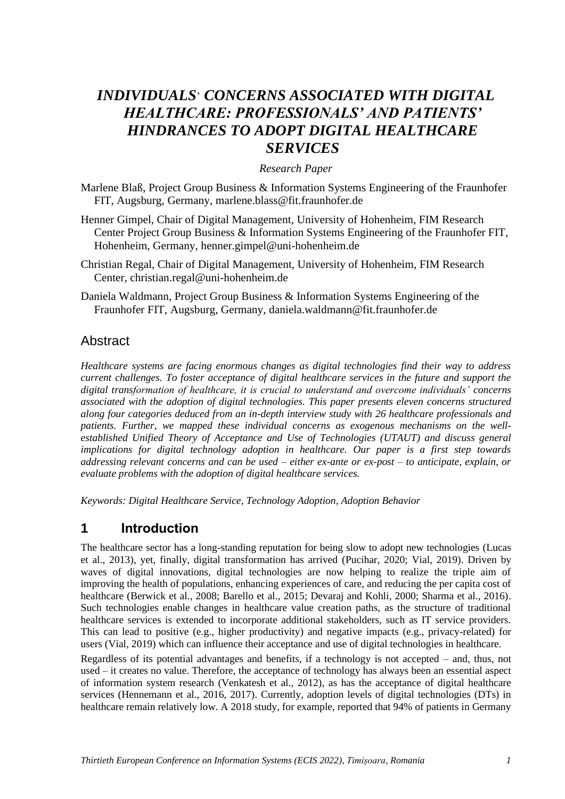# *INDIVIDUALS*' *CONCERNS ASSOCIATED WITH DIGITAL HEALTHCARE: PROFESSIONALS' AND PATIENTS' HINDRANCES TO ADOPT DIGITAL HEALTHCARE SERVICES*

#### *Research Paper*

- Marlene Blaß, Project Group Business & Information Systems Engineering of the Fraunhofer FIT, Augsburg, Germany, marlene.blass@fit.fraunhofer.de
- Henner Gimpel, Chair of Digital Management, University of Hohenheim, FIM Research Center Project Group Business & Information Systems Engineering of the Fraunhofer FIT, Hohenheim, Germany, henner.gimpel@uni-hohenheim.de
- Christian Regal, Chair of Digital Management, University of Hohenheim, FIM Research Center, christian.regal@uni-hohenheim.de
- Daniela Waldmann, Project Group Business & Information Systems Engineering of the Fraunhofer FIT, Augsburg, Germany, daniela.waldmann@fit.fraunhofer.de

#### Abstract

*Healthcare systems are facing enormous changes as digital technologies find their way to address current challenges. To foster acceptance of digital healthcare services in the future and support the digital transformation of healthcare, it is crucial to understand and overcome individuals' concerns associated with the adoption of digital technologies. This paper presents eleven concerns structured along four categories deduced from an in-depth interview study with 26 healthcare professionals and patients. Further, we mapped these individual concerns as exogenous mechanisms on the wellestablished Unified Theory of Acceptance and Use of Technologies (UTAUT) and discuss general implications for digital technology adoption in healthcare. Our paper is a first step towards addressing relevant concerns and can be used – either ex-ante or ex-post – to anticipate, explain, or evaluate problems with the adoption of digital healthcare services.*

*Keywords: Digital Healthcare Service, Technology Adoption, Adoption Behavior*

## **1 Introduction**

The healthcare sector has a long-standing reputation for being slow to adopt new technologies (Lucas et al., 2013), yet, finally, digital transformation has arrived (Pucihar, 2020; Vial, 2019). Driven by waves of digital innovations, digital technologies are now helping to realize the triple aim of improving the health of populations, enhancing experiences of care, and reducing the per capita cost of healthcare (Berwick et al., 2008; Barello et al., 2015; Devaraj and Kohli, 2000; Sharma et al., 2016). Such technologies enable changes in healthcare value creation paths, as the structure of traditional healthcare services is extended to incorporate additional stakeholders, such as IT service providers. This can lead to positive (e.g., higher productivity) and negative impacts (e.g., privacy-related) for users (Vial, 2019) which can influence their acceptance and use of digital technologies in healthcare.

Regardless of its potential advantages and benefits, if a technology is not accepted – and, thus, not used – it creates no value. Therefore, the acceptance of technology has always been an essential aspect of information system research (Venkatesh et al., 2012), as has the acceptance of digital healthcare services (Hennemann et al., 2016, 2017). Currently, adoption levels of digital technologies (DTs) in healthcare remain relatively low. A 2018 study, for example, reported that 94% of patients in Germany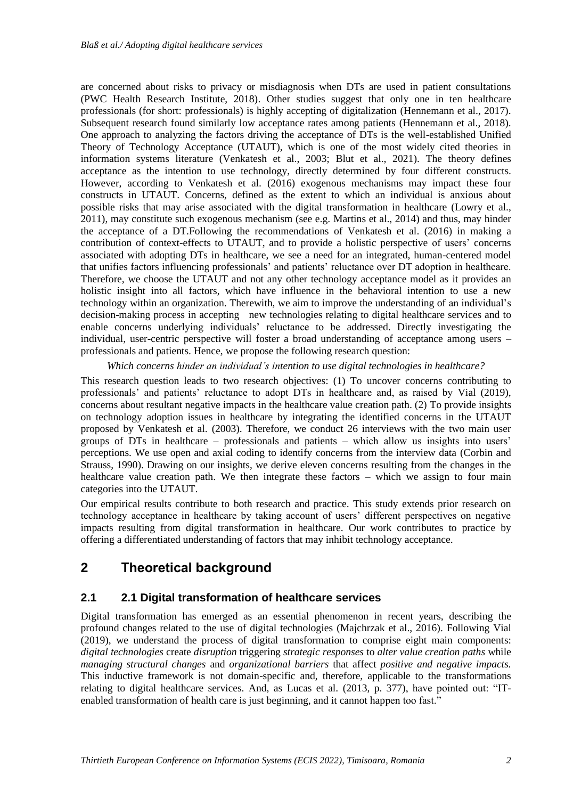are concerned about risks to privacy or misdiagnosis when DTs are used in patient consultations (PWC Health Research Institute, 2018). Other studies suggest that only one in ten healthcare professionals (for short: professionals) is highly accepting of digitalization (Hennemann et al., 2017). Subsequent research found similarly low acceptance rates among patients (Hennemann et al., 2018). One approach to analyzing the factors driving the acceptance of DTs is the well-established Unified Theory of Technology Acceptance (UTAUT), which is one of the most widely cited theories in information systems literature (Venkatesh et al., 2003; Blut et al., 2021). The theory defines acceptance as the intention to use technology, directly determined by four different constructs. However, according to Venkatesh et al. (2016) exogenous mechanisms may impact these four constructs in UTAUT. Concerns, defined as the extent to which an individual is anxious about possible risks that may arise associated with the digital transformation in healthcare (Lowry et al., 2011), may constitute such exogenous mechanism (see e.g. Martins et al., 2014) and thus, may hinder the acceptance of a DT.Following the recommendations of Venkatesh et al. (2016) in making a contribution of context-effects to UTAUT, and to provide a holistic perspective of users' concerns associated with adopting DTs in healthcare, we see a need for an integrated, human-centered model that unifies factors influencing professionals' and patients' reluctance over DT adoption in healthcare. Therefore, we choose the UTAUT and not any other technology acceptance model as it provides an holistic insight into all factors, which have influence in the behavioral intention to use a new technology within an organization. Therewith, we aim to improve the understanding of an individual's decision-making process in accepting new technologies relating to digital healthcare services and to enable concerns underlying individuals' reluctance to be addressed. Directly investigating the individual, user-centric perspective will foster a broad understanding of acceptance among users – professionals and patients. Hence, we propose the following research question:

*Which concerns hinder an individual's intention to use digital technologies in healthcare?*

This research question leads to two research objectives: (1) To uncover concerns contributing to professionals' and patients' reluctance to adopt DTs in healthcare and, as raised by Vial (2019), concerns about resultant negative impacts in the healthcare value creation path. (2) To provide insights on technology adoption issues in healthcare by integrating the identified concerns in the UTAUT proposed by Venkatesh et al. (2003). Therefore, we conduct 26 interviews with the two main user groups of DTs in healthcare – professionals and patients – which allow us insights into users' perceptions. We use open and axial coding to identify concerns from the interview data (Corbin and Strauss, 1990). Drawing on our insights, we derive eleven concerns resulting from the changes in the healthcare value creation path. We then integrate these factors – which we assign to four main categories into the UTAUT.

Our empirical results contribute to both research and practice. This study extends prior research on technology acceptance in healthcare by taking account of users' different perspectives on negative impacts resulting from digital transformation in healthcare. Our work contributes to practice by offering a differentiated understanding of factors that may inhibit technology acceptance.

## **2 Theoretical background**

#### **2.1 2.1 Digital transformation of healthcare services**

Digital transformation has emerged as an essential phenomenon in recent years, describing the profound changes related to the use of digital technologies (Majchrzak et al., 2016). Following Vial (2019), we understand the process of digital transformation to comprise eight main components: *digital technologies* create *disruption* triggering *strategic responses* to *alter value creation paths* while *managing structural changes* and *organizational barriers* that affect *positive and negative impacts.* This inductive framework is not domain-specific and, therefore, applicable to the transformations relating to digital healthcare services. And, as Lucas et al. (2013, p. 377), have pointed out: "ITenabled transformation of health care is just beginning, and it cannot happen too fast."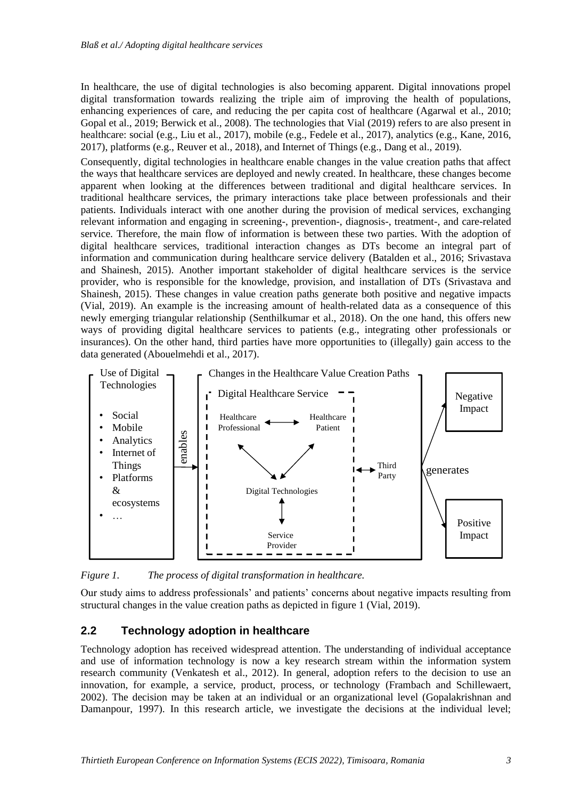In healthcare, the use of digital technologies is also becoming apparent. Digital innovations propel digital transformation towards realizing the triple aim of improving the health of populations, enhancing experiences of care, and reducing the per capita cost of healthcare (Agarwal et al., 2010; Gopal et al., 2019; Berwick et al., 2008). The technologies that Vial (2019) refers to are also present in healthcare: social (e.g., Liu et al., 2017), mobile (e.g., Fedele et al., 2017), analytics (e.g., Kane, 2016, 2017), platforms (e.g., Reuver et al., 2018), and Internet of Things (e.g., Dang et al., 2019).

Consequently, digital technologies in healthcare enable changes in the value creation paths that affect the ways that healthcare services are deployed and newly created. In healthcare, these changes become apparent when looking at the differences between traditional and digital healthcare services. In traditional healthcare services, the primary interactions take place between professionals and their patients. Individuals interact with one another during the provision of medical services, exchanging relevant information and engaging in screening-, prevention-, diagnosis-, treatment-, and care-related service. Therefore, the main flow of information is between these two parties. With the adoption of digital healthcare services, traditional interaction changes as DTs become an integral part of information and communication during healthcare service delivery (Batalden et al., 2016; Srivastava and Shainesh, 2015). Another important stakeholder of digital healthcare services is the service provider, who is responsible for the knowledge, provision, and installation of DTs (Srivastava and Shainesh, 2015). These changes in value creation paths generate both positive and negative impacts (Vial, 2019). An example is the increasing amount of health-related data as a consequence of this newly emerging triangular relationship (Senthilkumar et al., 2018). On the one hand, this offers new ways of providing digital healthcare services to patients (e.g., integrating other professionals or insurances). On the other hand, third parties have more opportunities to (illegally) gain access to the data generated (Abouelmehdi et al., 2017).



*Figure 1. The process of digital transformation in healthcare.*

Our study aims to address professionals' and patients' concerns about negative impacts resulting from structural changes in the value creation paths as depicted in figure 1 (Vial, 2019).

#### **2.2 Technology adoption in healthcare**

Technology adoption has received widespread attention. The understanding of individual acceptance and use of information technology is now a key research stream within the information system research community (Venkatesh et al., 2012). In general, adoption refers to the decision to use an innovation, for example, a service, product, process, or technology (Frambach and Schillewaert, 2002). The decision may be taken at an individual or an organizational level (Gopalakrishnan and Damanpour, 1997). In this research article, we investigate the decisions at the individual level;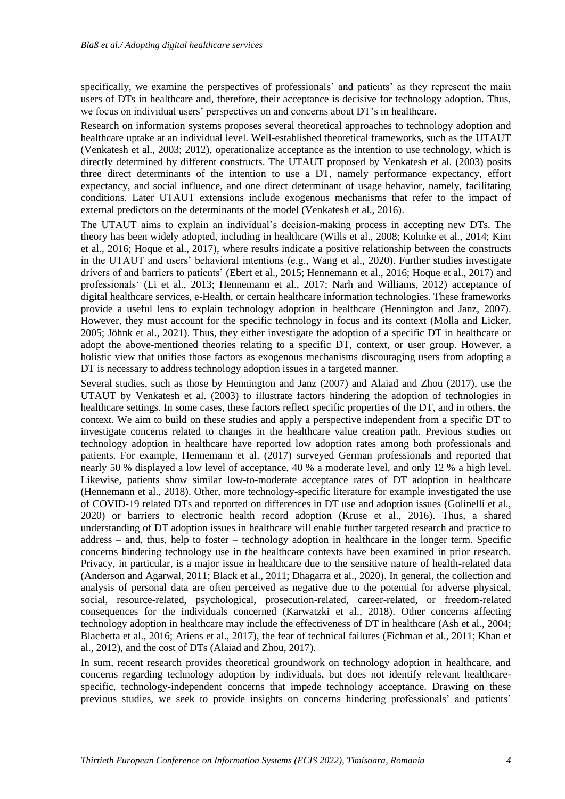specifically, we examine the perspectives of professionals' and patients' as they represent the main users of DTs in healthcare and, therefore, their acceptance is decisive for technology adoption. Thus, we focus on individual users' perspectives on and concerns about DT's in healthcare.

Research on information systems proposes several theoretical approaches to technology adoption and healthcare uptake at an individual level. Well-established theoretical frameworks, such as the UTAUT (Venkatesh et al., 2003; 2012), operationalize acceptance as the intention to use technology, which is directly determined by different constructs. The UTAUT proposed by Venkatesh et al. (2003) posits three direct determinants of the intention to use a DT, namely performance expectancy, effort expectancy, and social influence, and one direct determinant of usage behavior, namely, facilitating conditions. Later UTAUT extensions include exogenous mechanisms that refer to the impact of external predictors on the determinants of the model (Venkatesh et al., 2016).

The UTAUT aims to explain an individual's decision-making process in accepting new DTs. The theory has been widely adopted, including in healthcare (Wills et al., 2008; Kohnke et al., 2014; Kim et al., 2016; Hoque et al., 2017), where results indicate a positive relationship between the constructs in the UTAUT and users' behavioral intentions (e.g., Wang et al., 2020). Further studies investigate drivers of and barriers to patients' (Ebert et al., 2015; Hennemann et al., 2016; Hoque et al., 2017) and professionals' (Li et al., 2013; Hennemann et al., 2017; Narh and Williams, 2012) acceptance of digital healthcare services, e-Health, or certain healthcare information technologies. These frameworks provide a useful lens to explain technology adoption in healthcare (Hennington and Janz, 2007). However, they must account for the specific technology in focus and its context (Molla and Licker, 2005; Jöhnk et al., 2021). Thus, they either investigate the adoption of a specific DT in healthcare or adopt the above-mentioned theories relating to a specific DT, context, or user group. However, a holistic view that unifies those factors as exogenous mechanisms discouraging users from adopting a DT is necessary to address technology adoption issues in a targeted manner.

Several studies, such as those by Hennington and Janz (2007) and Alaiad and Zhou (2017), use the UTAUT by Venkatesh et al. (2003) to illustrate factors hindering the adoption of technologies in healthcare settings. In some cases, these factors reflect specific properties of the DT, and in others, the context. We aim to build on these studies and apply a perspective independent from a specific DT to investigate concerns related to changes in the healthcare value creation path. Previous studies on technology adoption in healthcare have reported low adoption rates among both professionals and patients. For example, Hennemann et al. (2017) surveyed German professionals and reported that nearly 50 % displayed a low level of acceptance, 40 % a moderate level, and only 12 % a high level. Likewise, patients show similar low-to-moderate acceptance rates of DT adoption in healthcare (Hennemann et al., 2018). Other, more technology-specific literature for example investigated the use of COVID-19 related DTs and reported on differences in DT use and adoption issues (Golinelli et al., 2020) or barriers to electronic health record adoption (Kruse et al., 2016). Thus, a shared understanding of DT adoption issues in healthcare will enable further targeted research and practice to address – and, thus, help to foster – technology adoption in healthcare in the longer term. Specific concerns hindering technology use in the healthcare contexts have been examined in prior research. Privacy, in particular, is a major issue in healthcare due to the sensitive nature of health-related data (Anderson and Agarwal, 2011; Black et al., 2011; Dhagarra et al., 2020). In general, the collection and analysis of personal data are often perceived as negative due to the potential for adverse physical, social, resource-related, psychological, prosecution-related, career-related, or freedom-related consequences for the individuals concerned (Karwatzki et al., 2018). Other concerns affecting technology adoption in healthcare may include the effectiveness of DT in healthcare (Ash et al., 2004; Blachetta et al., 2016; Ariens et al., 2017), the fear of technical failures (Fichman et al., 2011; Khan et al., 2012), and the cost of DTs (Alaiad and Zhou, 2017).

In sum, recent research provides theoretical groundwork on technology adoption in healthcare, and concerns regarding technology adoption by individuals, but does not identify relevant healthcarespecific, technology-independent concerns that impede technology acceptance. Drawing on these previous studies, we seek to provide insights on concerns hindering professionals' and patients'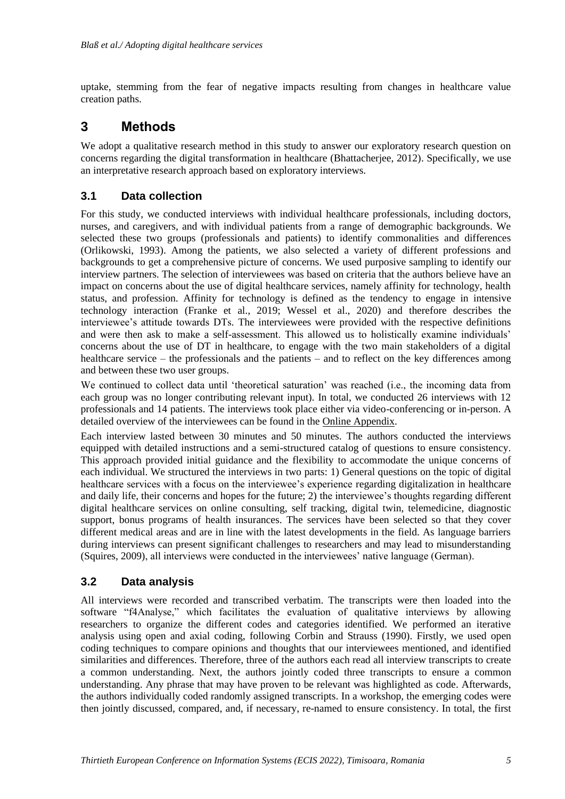uptake, stemming from the fear of negative impacts resulting from changes in healthcare value creation paths.

### **3 Methods**

We adopt a qualitative research method in this study to answer our exploratory research question on concerns regarding the digital transformation in healthcare (Bhattacherjee, 2012). Specifically, we use an interpretative research approach based on exploratory interviews.

#### **3.1 Data collection**

For this study, we conducted interviews with individual healthcare professionals, including doctors, nurses, and caregivers, and with individual patients from a range of demographic backgrounds. We selected these two groups (professionals and patients) to identify commonalities and differences (Orlikowski, 1993). Among the patients, we also selected a variety of different professions and backgrounds to get a comprehensive picture of concerns. We used purposive sampling to identify our interview partners. The selection of interviewees was based on criteria that the authors believe have an impact on concerns about the use of digital healthcare services, namely affinity for technology, health status, and profession. Affinity for technology is defined as the tendency to engage in intensive technology interaction (Franke et al., 2019; Wessel et al., 2020) and therefore describes the interviewee's attitude towards DTs. The interviewees were provided with the respective definitions and were then ask to make a self-assessment. This allowed us to holistically examine individuals' concerns about the use of DT in healthcare, to engage with the two main stakeholders of a digital healthcare service – the professionals and the patients – and to reflect on the key differences among and between these two user groups.

We continued to collect data until 'theoretical saturation' was reached (i.e., the incoming data from each group was no longer contributing relevant input). In total, we conducted 26 interviews with 12 professionals and 14 patients. The interviews took place either via video-conferencing or in-person. A detailed overview of the interviewees can be found in the [Online Appendix.](https://figshare.com/s/687b523ecd8ad1e8c461)

Each interview lasted between 30 minutes and 50 minutes. The authors conducted the interviews equipped with detailed instructions and a semi-structured catalog of questions to ensure consistency. This approach provided initial guidance and the flexibility to accommodate the unique concerns of each individual. We structured the interviews in two parts: 1) General questions on the topic of digital healthcare services with a focus on the interviewee's experience regarding digitalization in healthcare and daily life, their concerns and hopes for the future; 2) the interviewee's thoughts regarding different digital healthcare services on online consulting, self tracking, digital twin, telemedicine, diagnostic support, bonus programs of health insurances. The services have been selected so that they cover different medical areas and are in line with the latest developments in the field. As language barriers during interviews can present significant challenges to researchers and may lead to misunderstanding (Squires, 2009), all interviews were conducted in the interviewees' native language (German).

#### **3.2 Data analysis**

All interviews were recorded and transcribed verbatim. The transcripts were then loaded into the software "f4Analyse," which facilitates the evaluation of qualitative interviews by allowing researchers to organize the different codes and categories identified. We performed an iterative analysis using open and axial coding, following Corbin and Strauss (1990). Firstly, we used open coding techniques to compare opinions and thoughts that our interviewees mentioned, and identified similarities and differences. Therefore, three of the authors each read all interview transcripts to create a common understanding. Next, the authors jointly coded three transcripts to ensure a common understanding. Any phrase that may have proven to be relevant was highlighted as code. Afterwards, the authors individually coded randomly assigned transcripts. In a workshop, the emerging codes were then jointly discussed, compared, and, if necessary, re-named to ensure consistency. In total, the first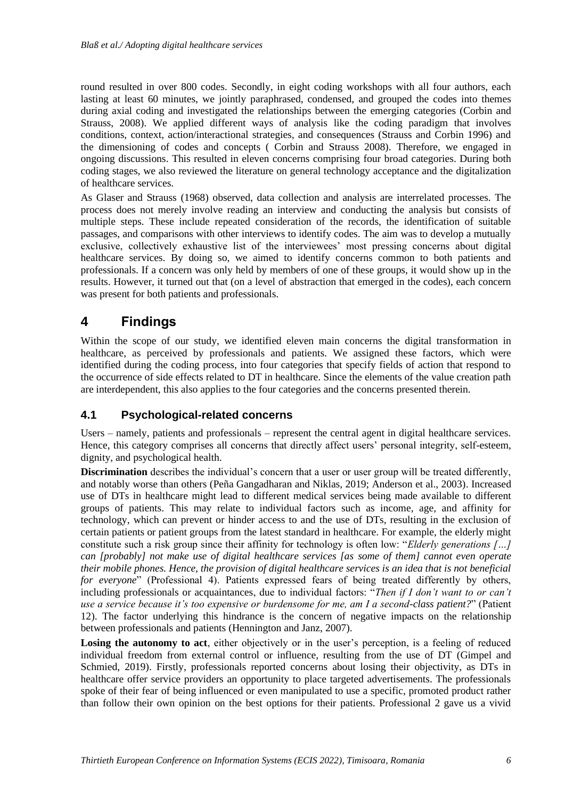round resulted in over 800 codes. Secondly, in eight coding workshops with all four authors, each lasting at least 60 minutes, we jointly paraphrased, condensed, and grouped the codes into themes during axial coding and investigated the relationships between the emerging categories (Corbin and Strauss, 2008). We applied different ways of analysis like the coding paradigm that involves conditions, context, action/interactional strategies, and consequences (Strauss and Corbin 1996) and the dimensioning of codes and concepts ( Corbin and Strauss 2008). Therefore, we engaged in ongoing discussions. This resulted in eleven concerns comprising four broad categories. During both coding stages, we also reviewed the literature on general technology acceptance and the digitalization of healthcare services.

As Glaser and Strauss (1968) observed, data collection and analysis are interrelated processes. The process does not merely involve reading an interview and conducting the analysis but consists of multiple steps. These include repeated consideration of the records, the identification of suitable passages, and comparisons with other interviews to identify codes. The aim was to develop a mutually exclusive, collectively exhaustive list of the interviewees' most pressing concerns about digital healthcare services. By doing so, we aimed to identify concerns common to both patients and professionals. If a concern was only held by members of one of these groups, it would show up in the results. However, it turned out that (on a level of abstraction that emerged in the codes), each concern was present for both patients and professionals.

# **4 Findings**

Within the scope of our study, we identified eleven main concerns the digital transformation in healthcare, as perceived by professionals and patients. We assigned these factors, which were identified during the coding process, into four categories that specify fields of action that respond to the occurrence of side effects related to DT in healthcare. Since the elements of the value creation path are interdependent, this also applies to the four categories and the concerns presented therein.

#### **4.1 Psychological-related concerns**

Users – namely, patients and professionals – represent the central agent in digital healthcare services. Hence, this category comprises all concerns that directly affect users' personal integrity, self-esteem, dignity, and psychological health.

**Discrimination** describes the individual's concern that a user or user group will be treated differently, and notably worse than others (Peña Gangadharan and Niklas, 2019; Anderson et al., 2003). Increased use of DTs in healthcare might lead to different medical services being made available to different groups of patients. This may relate to individual factors such as income, age, and affinity for technology, which can prevent or hinder access to and the use of DTs, resulting in the exclusion of certain patients or patient groups from the latest standard in healthcare. For example, the elderly might constitute such a risk group since their affinity for technology is often low: "*Elderly generations […] can [probably] not make use of digital healthcare services [as some of them] cannot even operate their mobile phones. Hence, the provision of digital healthcare services is an idea that is not beneficial for everyone*" (Professional 4). Patients expressed fears of being treated differently by others, including professionals or acquaintances, due to individual factors: "*Then if I don't want to or can't use a service because it's too expensive or burdensome for me, am I a second-class patient?*" (Patient 12). The factor underlying this hindrance is the concern of negative impacts on the relationship between professionals and patients (Hennington and Janz, 2007).

**Losing the autonomy to act**, either objectively or in the user's perception, is a feeling of reduced individual freedom from external control or influence, resulting from the use of DT (Gimpel and Schmied, 2019). Firstly, professionals reported concerns about losing their objectivity, as DTs in healthcare offer service providers an opportunity to place targeted advertisements. The professionals spoke of their fear of being influenced or even manipulated to use a specific, promoted product rather than follow their own opinion on the best options for their patients. Professional 2 gave us a vivid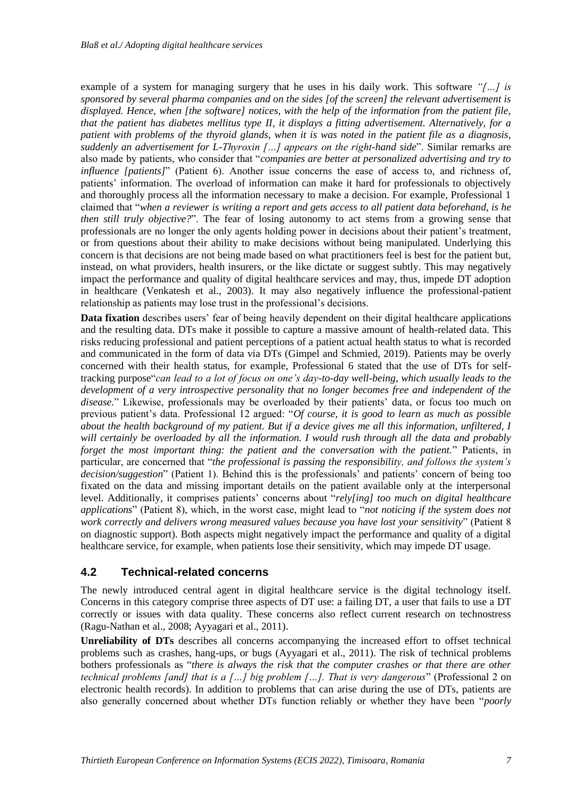example of a system for managing surgery that he uses in his daily work. This software *"[…] is sponsored by several pharma companies and on the sides [of the screen] the relevant advertisement is displayed. Hence, when [the software] notices, with the help of the information from the patient file, that the patient has diabetes mellitus type II, it displays a fitting advertisement. Alternatively, for a patient with problems of the thyroid glands, when it is was noted in the patient file as a diagnosis, suddenly an advertisement for L-Thyroxin […] appears on the right-hand side*". Similar remarks are also made by patients, who consider that "*companies are better at personalized advertising and try to influence [patients]*" (Patient 6). Another issue concerns the ease of access to, and richness of, patients' information. The overload of information can make it hard for professionals to objectively and thoroughly process all the information necessary to make a decision. For example, Professional 1 claimed that "*when a reviewer is writing a report and gets access to all patient data beforehand, is he then still truly objective?*". The fear of losing autonomy to act stems from a growing sense that professionals are no longer the only agents holding power in decisions about their patient's treatment, or from questions about their ability to make decisions without being manipulated. Underlying this concern is that decisions are not being made based on what practitioners feel is best for the patient but, instead, on what providers, health insurers, or the like dictate or suggest subtly. This may negatively impact the performance and quality of digital healthcare services and may, thus, impede DT adoption in healthcare (Venkatesh et al., 2003). It may also negatively influence the professional-patient relationship as patients may lose trust in the professional's decisions.

**Data fixation** describes users' fear of being heavily dependent on their digital healthcare applications and the resulting data. DTs make it possible to capture a massive amount of health-related data. This risks reducing professional and patient perceptions of a patient actual health status to what is recorded and communicated in the form of data via DTs (Gimpel and Schmied, 2019). Patients may be overly concerned with their health status, for example, Professional 6 stated that the use of DTs for selftracking purpose"*can lead to a lot of focus on one's day-to-day well-being, which usually leads to the development of a very introspective personality that no longer becomes free and independent of the disease.*" Likewise, professionals may be overloaded by their patients' data, or focus too much on previous patient's data. Professional 12 argued: "*Of course, it is good to learn as much as possible about the health background of my patient. But if a device gives me all this information, unfiltered, I will certainly be overloaded by all the information. I would rush through all the data and probably forget the most important thing: the patient and the conversation with the patient.*" Patients, in particular, are concerned that "*the professional is passing the responsibility, and follows the system's decision/suggestion*" (Patient 1). Behind this is the professionals' and patients' concern of being too fixated on the data and missing important details on the patient available only at the interpersonal level. Additionally, it comprises patients' concerns about "*rely[ing] too much on digital healthcare applications*" (Patient 8), which, in the worst case, might lead to "*not noticing if the system does not work correctly and delivers wrong measured values because you have lost your sensitivity*" (Patient 8 on diagnostic support). Both aspects might negatively impact the performance and quality of a digital healthcare service, for example, when patients lose their sensitivity, which may impede DT usage.

#### **4.2 Technical-related concerns**

The newly introduced central agent in digital healthcare service is the digital technology itself. Concerns in this category comprise three aspects of DT use: a failing DT, a user that fails to use a DT correctly or issues with data quality. These concerns also reflect current research on technostress (Ragu-Nathan et al., 2008; Ayyagari et al., 2011).

**Unreliability of DTs** describes all concerns accompanying the increased effort to offset technical problems such as crashes, hang-ups, or bugs (Ayyagari et al., 2011). The risk of technical problems bothers professionals as "*there is always the risk that the computer crashes or that there are other technical problems [and] that is a […] big problem […]. That is very dangerous*" (Professional 2 on electronic health records). In addition to problems that can arise during the use of DTs, patients are also generally concerned about whether DTs function reliably or whether they have been "*poorly*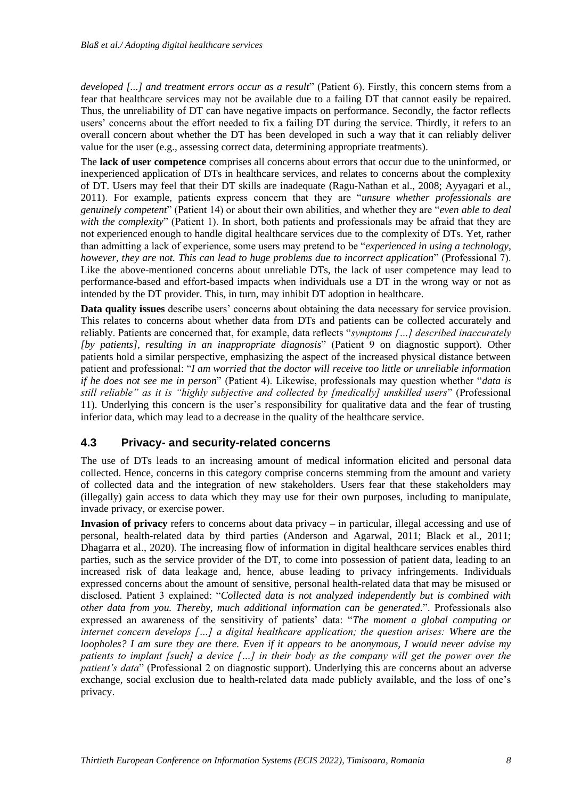*developed [...] and treatment errors occur as a result*" (Patient 6). Firstly, this concern stems from a fear that healthcare services may not be available due to a failing DT that cannot easily be repaired. Thus, the unreliability of DT can have negative impacts on performance. Secondly, the factor reflects users' concerns about the effort needed to fix a failing DT during the service. Thirdly, it refers to an overall concern about whether the DT has been developed in such a way that it can reliably deliver value for the user (e.g., assessing correct data, determining appropriate treatments).

The **lack of user competence** comprises all concerns about errors that occur due to the uninformed, or inexperienced application of DTs in healthcare services, and relates to concerns about the complexity of DT. Users may feel that their DT skills are inadequate (Ragu-Nathan et al., 2008; Ayyagari et al., 2011). For example, patients express concern that they are "*unsure whether professionals are genuinely competent*" (Patient 14) or about their own abilities, and whether they are "*even able to deal*  with the complexity" (Patient 1). In short, both patients and professionals may be afraid that they are not experienced enough to handle digital healthcare services due to the complexity of DTs. Yet, rather than admitting a lack of experience, some users may pretend to be "*experienced in using a technology, however, they are not. This can lead to huge problems due to incorrect application*" (Professional 7). Like the above-mentioned concerns about unreliable DTs, the lack of user competence may lead to performance-based and effort-based impacts when individuals use a DT in the wrong way or not as intended by the DT provider. This, in turn, may inhibit DT adoption in healthcare.

**Data quality issues** describe users' concerns about obtaining the data necessary for service provision. This relates to concerns about whether data from DTs and patients can be collected accurately and reliably. Patients are concerned that, for example, data reflects "*symptoms […] described inaccurately [by patients], resulting in an inappropriate diagnosis*" (Patient 9 on diagnostic support). Other patients hold a similar perspective, emphasizing the aspect of the increased physical distance between patient and professional: "*I am worried that the doctor will receive too little or unreliable information if he does not see me in person*" (Patient 4). Likewise, professionals may question whether "*data is still reliable" as it is "highly subjective and collected by [medically] unskilled users*" (Professional 11). Underlying this concern is the user's responsibility for qualitative data and the fear of trusting inferior data, which may lead to a decrease in the quality of the healthcare service.

#### **4.3 Privacy- and security-related concerns**

The use of DTs leads to an increasing amount of medical information elicited and personal data collected. Hence, concerns in this category comprise concerns stemming from the amount and variety of collected data and the integration of new stakeholders. Users fear that these stakeholders may (illegally) gain access to data which they may use for their own purposes, including to manipulate, invade privacy, or exercise power.

**Invasion of privacy** refers to concerns about data privacy – in particular, illegal accessing and use of personal, health-related data by third parties (Anderson and Agarwal, 2011; Black et al., 2011; Dhagarra et al., 2020). The increasing flow of information in digital healthcare services enables third parties, such as the service provider of the DT, to come into possession of patient data, leading to an increased risk of data leakage and, hence, abuse leading to privacy infringements. Individuals expressed concerns about the amount of sensitive, personal health-related data that may be misused or disclosed. Patient 3 explained: "*Collected data is not analyzed independently but is combined with other data from you. Thereby, much additional information can be generated.*". Professionals also expressed an awareness of the sensitivity of patients' data: "*The moment a global computing or internet concern develops […] a digital healthcare application; the question arises: Where are the loopholes? I am sure they are there. Even if it appears to be anonymous, I would never advise my patients to implant [such] a device […] in their body as the company will get the power over the patient's data*" (Professional 2 on diagnostic support). Underlying this are concerns about an adverse exchange, social exclusion due to health-related data made publicly available, and the loss of one's privacy.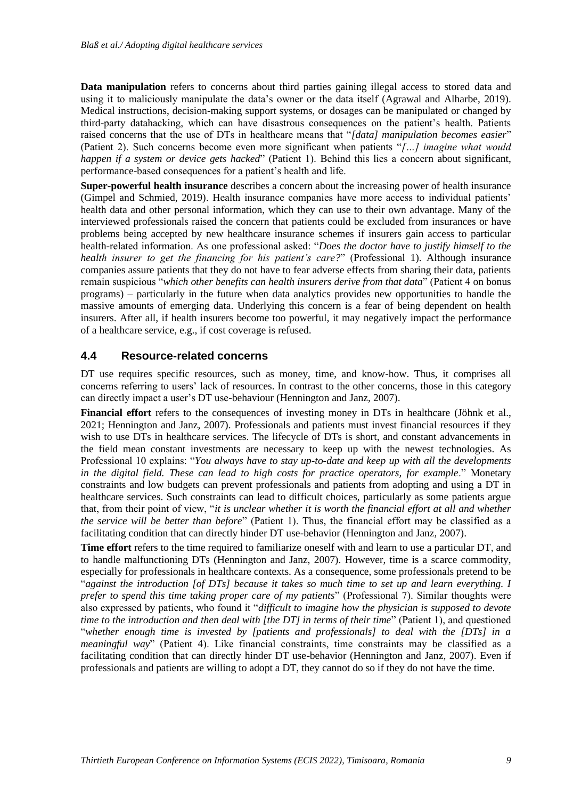**Data manipulation** refers to concerns about third parties gaining illegal access to stored data and using it to maliciously manipulate the data's owner or the data itself (Agrawal and Alharbe, 2019). Medical instructions, decision-making support systems, or dosages can be manipulated or changed by third-party datahacking, which can have disastrous consequences on the patient's health. Patients raised concerns that the use of DTs in healthcare means that "*[data] manipulation becomes easier*" (Patient 2). Such concerns become even more significant when patients "*[…] imagine what would happen if a system or device gets hacked*" (Patient 1). Behind this lies a concern about significant, performance-based consequences for a patient's health and life.

**Super-powerful health insurance** describes a concern about the increasing power of health insurance (Gimpel and Schmied, 2019). Health insurance companies have more access to individual patients' health data and other personal information, which they can use to their own advantage. Many of the interviewed professionals raised the concern that patients could be excluded from insurances or have problems being accepted by new healthcare insurance schemes if insurers gain access to particular health-related information. As one professional asked: "*Does the doctor have to justify himself to the health insurer to get the financing for his patient's care?*" (Professional 1). Although insurance companies assure patients that they do not have to fear adverse effects from sharing their data, patients remain suspicious "*which other benefits can health insurers derive from that data*" (Patient 4 on bonus programs) – particularly in the future when data analytics provides new opportunities to handle the massive amounts of emerging data. Underlying this concern is a fear of being dependent on health insurers. After all, if health insurers become too powerful, it may negatively impact the performance of a healthcare service, e.g., if cost coverage is refused.

#### **4.4 Resource-related concerns**

DT use requires specific resources, such as money, time, and know-how. Thus, it comprises all concerns referring to users' lack of resources. In contrast to the other concerns, those in this category can directly impact a user's DT use-behaviour (Hennington and Janz, 2007).

**Financial effort** refers to the consequences of investing money in DTs in healthcare (Jöhnk et al., 2021; Hennington and Janz, 2007). Professionals and patients must invest financial resources if they wish to use DTs in healthcare services. The lifecycle of DTs is short, and constant advancements in the field mean constant investments are necessary to keep up with the newest technologies. As Professional 10 explains: "*You always have to stay up-to-date and keep up with all the developments*  in the digital field. These can lead to high costs for practice operators, for example." Monetary constraints and low budgets can prevent professionals and patients from adopting and using a DT in healthcare services. Such constraints can lead to difficult choices, particularly as some patients argue that, from their point of view, "*it is unclear whether it is worth the financial effort at all and whether the service will be better than before*" (Patient 1). Thus, the financial effort may be classified as a facilitating condition that can directly hinder DT use-behavior (Hennington and Janz, 2007).

**Time effort** refers to the time required to familiarize oneself with and learn to use a particular DT, and to handle malfunctioning DTs (Hennington and Janz, 2007). However, time is a scarce commodity, especially for professionals in healthcare contexts. As a consequence, some professionals pretend to be "*against the introduction [of DTs] because it takes so much time to set up and learn everything. I prefer to spend this time taking proper care of my patients*" (Professional 7). Similar thoughts were also expressed by patients, who found it "*difficult to imagine how the physician is supposed to devote time to the introduction and then deal with [the DT] in terms of their time*" (Patient 1), and questioned "*whether enough time is invested by [patients and professionals] to deal with the [DTs] in a meaningful way*" (Patient 4). Like financial constraints, time constraints may be classified as a facilitating condition that can directly hinder DT use-behavior (Hennington and Janz, 2007). Even if professionals and patients are willing to adopt a DT, they cannot do so if they do not have the time.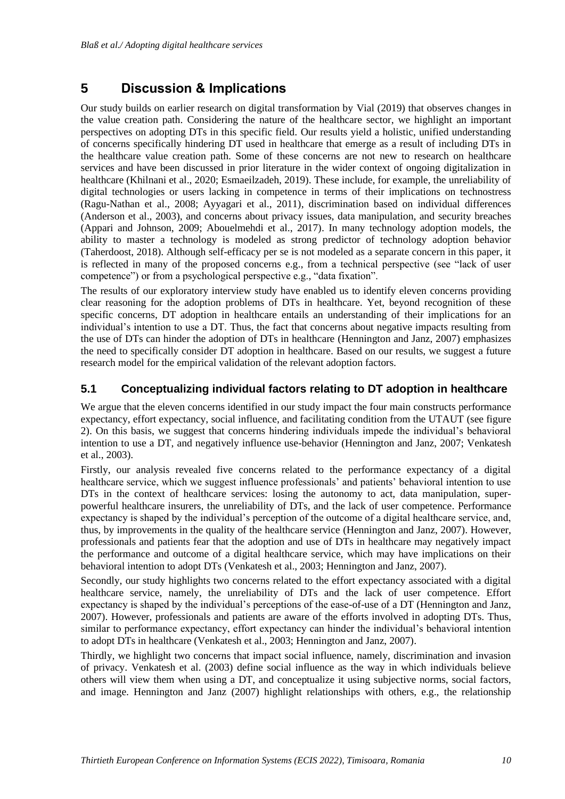# **5 Discussion & Implications**

Our study builds on earlier research on digital transformation by Vial (2019) that observes changes in the value creation path. Considering the nature of the healthcare sector, we highlight an important perspectives on adopting DTs in this specific field. Our results yield a holistic, unified understanding of concerns specifically hindering DT used in healthcare that emerge as a result of including DTs in the healthcare value creation path. Some of these concerns are not new to research on healthcare services and have been discussed in prior literature in the wider context of ongoing digitalization in healthcare (Khilnani et al., 2020; Esmaeilzadeh, 2019). These include, for example, the unreliability of digital technologies or users lacking in competence in terms of their implications on technostress (Ragu-Nathan et al., 2008; Ayyagari et al., 2011), discrimination based on individual differences (Anderson et al., 2003), and concerns about privacy issues, data manipulation, and security breaches (Appari and Johnson, 2009; Abouelmehdi et al., 2017). In many technology adoption models, the ability to master a technology is modeled as strong predictor of technology adoption behavior (Taherdoost, 2018). Although self-efficacy per se is not modeled as a separate concern in this paper, it is reflected in many of the proposed concerns e.g., from a technical perspective (see "lack of user competence") or from a psychological perspective e.g., "data fixation".

The results of our exploratory interview study have enabled us to identify eleven concerns providing clear reasoning for the adoption problems of DTs in healthcare. Yet, beyond recognition of these specific concerns, DT adoption in healthcare entails an understanding of their implications for an individual's intention to use a DT. Thus, the fact that concerns about negative impacts resulting from the use of DTs can hinder the adoption of DTs in healthcare (Hennington and Janz, 2007) emphasizes the need to specifically consider DT adoption in healthcare. Based on our results, we suggest a future research model for the empirical validation of the relevant adoption factors.

#### **5.1 Conceptualizing individual factors relating to DT adoption in healthcare**

We argue that the eleven concerns identified in our study impact the four main constructs performance expectancy, effort expectancy, social influence, and facilitating condition from the UTAUT (see figure 2). On this basis, we suggest that concerns hindering individuals impede the individual's behavioral intention to use a DT, and negatively influence use-behavior (Hennington and Janz, 2007; Venkatesh et al., 2003).

Firstly, our analysis revealed five concerns related to the performance expectancy of a digital healthcare service, which we suggest influence professionals' and patients' behavioral intention to use DTs in the context of healthcare services: losing the autonomy to act, data manipulation, superpowerful healthcare insurers, the unreliability of DTs, and the lack of user competence. Performance expectancy is shaped by the individual's perception of the outcome of a digital healthcare service, and, thus, by improvements in the quality of the healthcare service (Hennington and Janz, 2007). However, professionals and patients fear that the adoption and use of DTs in healthcare may negatively impact the performance and outcome of a digital healthcare service, which may have implications on their behavioral intention to adopt DTs (Venkatesh et al., 2003; Hennington and Janz, 2007).

Secondly, our study highlights two concerns related to the effort expectancy associated with a digital healthcare service, namely, the unreliability of DTs and the lack of user competence. Effort expectancy is shaped by the individual's perceptions of the ease-of-use of a DT (Hennington and Janz, 2007). However, professionals and patients are aware of the efforts involved in adopting DTs. Thus, similar to performance expectancy, effort expectancy can hinder the individual's behavioral intention to adopt DTs in healthcare (Venkatesh et al., 2003; Hennington and Janz, 2007).

Thirdly, we highlight two concerns that impact social influence, namely, discrimination and invasion of privacy. Venkatesh et al. (2003) define social influence as the way in which individuals believe others will view them when using a DT, and conceptualize it using subjective norms, social factors, and image. Hennington and Janz (2007) highlight relationships with others, e.g., the relationship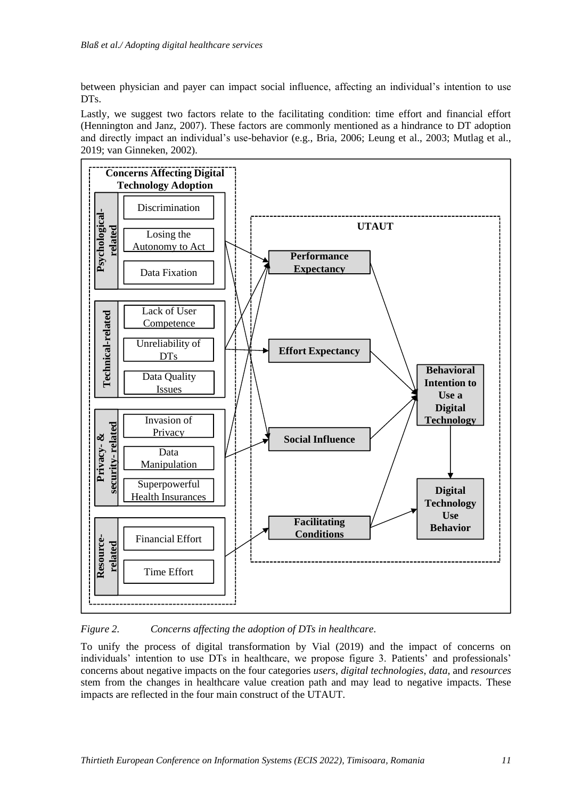between physician and payer can impact social influence, affecting an individual's intention to use DTs.

Lastly, we suggest two factors relate to the facilitating condition: time effort and financial effort (Hennington and Janz, 2007). These factors are commonly mentioned as a hindrance to DT adoption and directly impact an individual's use-behavior (e.g., Bria, 2006; Leung et al., 2003; Mutlag et al., 2019; van Ginneken, 2002).



*Figure 2. Concerns affecting the adoption of DTs in healthcare.*

To unify the process of digital transformation by Vial (2019) and the impact of concerns on individuals' intention to use DTs in healthcare, we propose figure 3. Patients' and professionals' concerns about negative impacts on the four categories *users*, *digital technologies*, *data*, and *resources* stem from the changes in healthcare value creation path and may lead to negative impacts. These impacts are reflected in the four main construct of the UTAUT.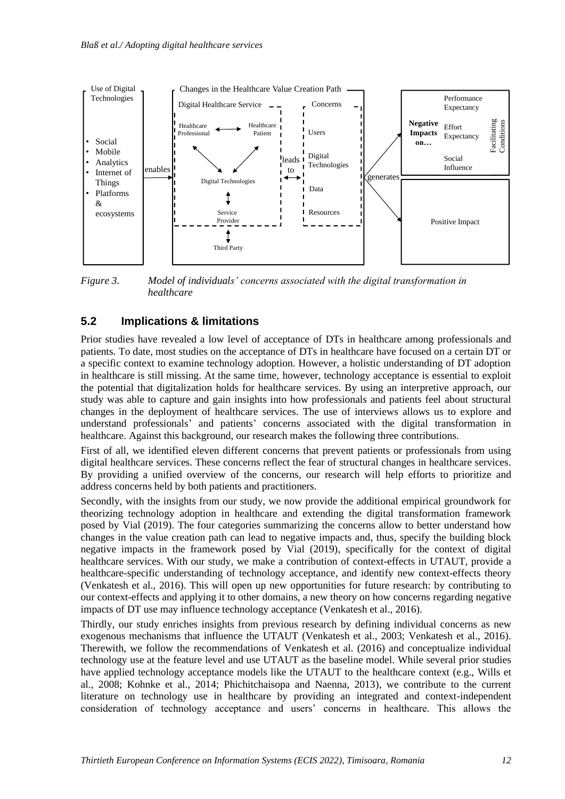

*Figure 3. Model of individuals' concerns associated with the digital transformation in healthcare*

#### **5.2 Implications & limitations**

Prior studies have revealed a low level of acceptance of DTs in healthcare among professionals and patients. To date, most studies on the acceptance of DTs in healthcare have focused on a certain DT or a specific context to examine technology adoption. However, a holistic understanding of DT adoption in healthcare is still missing. At the same time, however, technology acceptance is essential to exploit the potential that digitalization holds for healthcare services. By using an interpretive approach, our study was able to capture and gain insights into how professionals and patients feel about structural changes in the deployment of healthcare services. The use of interviews allows us to explore and understand professionals' and patients' concerns associated with the digital transformation in healthcare. Against this background, our research makes the following three contributions.

First of all, we identified eleven different concerns that prevent patients or professionals from using digital healthcare services. These concerns reflect the fear of structural changes in healthcare services. By providing a unified overview of the concerns, our research will help efforts to prioritize and address concerns held by both patients and practitioners.

Secondly, with the insights from our study, we now provide the additional empirical groundwork for theorizing technology adoption in healthcare and extending the digital transformation framework posed by Vial (2019). The four categories summarizing the concerns allow to better understand how changes in the value creation path can lead to negative impacts and, thus, specify the building block negative impacts in the framework posed by Vial (2019), specifically for the context of digital healthcare services. With our study, we make a contribution of context-effects in UTAUT, provide a healthcare-specific understanding of technology acceptance, and identify new context-effects theory (Venkatesh et al., 2016). This will open up new opportunities for future research: by contributing to our context-effects and applying it to other domains, a new theory on how concerns regarding negative impacts of DT use may influence technology acceptance (Venkatesh et al., 2016).

Thirdly, our study enriches insights from previous research by defining individual concerns as new exogenous mechanisms that influence the UTAUT (Venkatesh et al., 2003; Venkatesh et al., 2016). Therewith, we follow the recommendations of Venkatesh et al. (2016) and conceptualize individual technology use at the feature level and use UTAUT as the baseline model. While several prior studies have applied technology acceptance models like the UTAUT to the healthcare context (e.g., Wills et al., 2008; Kohnke et al., 2014; Phichitchaisopa and Naenna, 2013), we contribute to the current literature on technology use in healthcare by providing an integrated and context-independent consideration of technology acceptance and users' concerns in healthcare. This allows the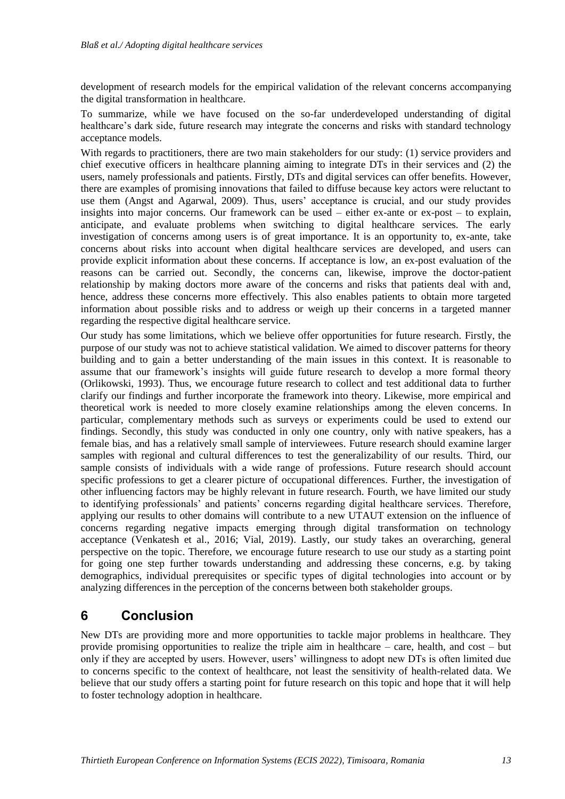development of research models for the empirical validation of the relevant concerns accompanying the digital transformation in healthcare.

To summarize, while we have focused on the so-far underdeveloped understanding of digital healthcare's dark side, future research may integrate the concerns and risks with standard technology acceptance models.

With regards to practitioners, there are two main stakeholders for our study: (1) service providers and chief executive officers in healthcare planning aiming to integrate DTs in their services and (2) the users, namely professionals and patients. Firstly, DTs and digital services can offer benefits. However, there are examples of promising innovations that failed to diffuse because key actors were reluctant to use them (Angst and Agarwal, 2009). Thus, users' acceptance is crucial, and our study provides insights into major concerns. Our framework can be used – either ex-ante or ex-post – to explain, anticipate, and evaluate problems when switching to digital healthcare services. The early investigation of concerns among users is of great importance. It is an opportunity to, ex-ante, take concerns about risks into account when digital healthcare services are developed, and users can provide explicit information about these concerns. If acceptance is low, an ex-post evaluation of the reasons can be carried out. Secondly, the concerns can, likewise, improve the doctor-patient relationship by making doctors more aware of the concerns and risks that patients deal with and, hence, address these concerns more effectively. This also enables patients to obtain more targeted information about possible risks and to address or weigh up their concerns in a targeted manner regarding the respective digital healthcare service.

Our study has some limitations, which we believe offer opportunities for future research. Firstly, the purpose of our study was not to achieve statistical validation. We aimed to discover patterns for theory building and to gain a better understanding of the main issues in this context. It is reasonable to assume that our framework's insights will guide future research to develop a more formal theory (Orlikowski, 1993). Thus, we encourage future research to collect and test additional data to further clarify our findings and further incorporate the framework into theory. Likewise, more empirical and theoretical work is needed to more closely examine relationships among the eleven concerns. In particular, complementary methods such as surveys or experiments could be used to extend our findings. Secondly, this study was conducted in only one country, only with native speakers, has a female bias, and has a relatively small sample of interviewees. Future research should examine larger samples with regional and cultural differences to test the generalizability of our results. Third, our sample consists of individuals with a wide range of professions. Future research should account specific professions to get a clearer picture of occupational differences. Further, the investigation of other influencing factors may be highly relevant in future research. Fourth, we have limited our study to identifying professionals' and patients' concerns regarding digital healthcare services. Therefore, applying our results to other domains will contribute to a new UTAUT extension on the influence of concerns regarding negative impacts emerging through digital transformation on technology acceptance (Venkatesh et al., 2016; Vial, 2019). Lastly, our study takes an overarching, general perspective on the topic. Therefore, we encourage future research to use our study as a starting point for going one step further towards understanding and addressing these concerns, e.g. by taking demographics, individual prerequisites or specific types of digital technologies into account or by analyzing differences in the perception of the concerns between both stakeholder groups.

# **6 Conclusion**

New DTs are providing more and more opportunities to tackle major problems in healthcare. They provide promising opportunities to realize the triple aim in healthcare – care, health, and cost – but only if they are accepted by users. However, users' willingness to adopt new DTs is often limited due to concerns specific to the context of healthcare, not least the sensitivity of health-related data. We believe that our study offers a starting point for future research on this topic and hope that it will help to foster technology adoption in healthcare.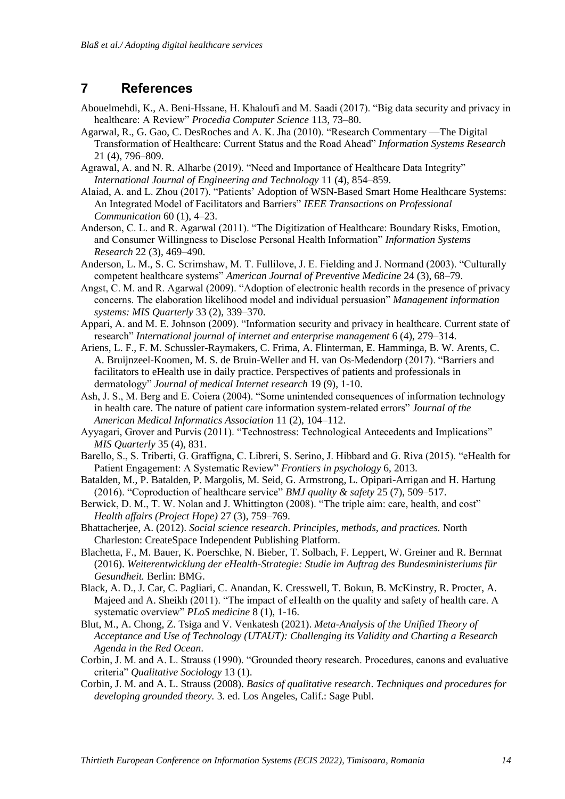### **7 References**

- Abouelmehdi, K., A. Beni-Hssane, H. Khaloufi and M. Saadi (2017). "Big data security and privacy in healthcare: A Review" *Procedia Computer Science* 113, 73–80.
- Agarwal, R., G. Gao, C. DesRoches and A. K. Jha (2010). "Research Commentary —The Digital Transformation of Healthcare: Current Status and the Road Ahead" *Information Systems Research* 21 (4), 796–809.
- Agrawal, A. and N. R. Alharbe (2019). "Need and Importance of Healthcare Data Integrity" *International Journal of Engineering and Technology* 11 (4), 854–859.
- Alaiad, A. and L. Zhou (2017). "Patients' Adoption of WSN-Based Smart Home Healthcare Systems: An Integrated Model of Facilitators and Barriers" *IEEE Transactions on Professional Communication* 60 (1), 4–23.
- Anderson, C. L. and R. Agarwal (2011). "The Digitization of Healthcare: Boundary Risks, Emotion, and Consumer Willingness to Disclose Personal Health Information" *Information Systems Research* 22 (3), 469–490.
- Anderson, L. M., S. C. Scrimshaw, M. T. Fullilove, J. E. Fielding and J. Normand (2003). "Culturally competent healthcare systems" *American Journal of Preventive Medicine* 24 (3), 68–79.
- Angst, C. M. and R. Agarwal (2009). "Adoption of electronic health records in the presence of privacy concerns. The elaboration likelihood model and individual persuasion" *Management information systems: MIS Quarterly* 33 (2), 339–370.
- Appari, A. and M. E. Johnson (2009). "Information security and privacy in healthcare. Current state of research" *International journal of internet and enterprise management* 6 (4), 279–314.
- Ariens, L. F., F. M. Schussler-Raymakers, C. Frima, A. Flinterman, E. Hamminga, B. W. Arents, C. A. Bruijnzeel-Koomen, M. S. de Bruin-Weller and H. van Os-Medendorp (2017). "Barriers and facilitators to eHealth use in daily practice. Perspectives of patients and professionals in dermatology" *Journal of medical Internet research* 19 (9), 1-10.
- Ash, J. S., M. Berg and E. Coiera (2004). "Some unintended consequences of information technology in health care. The nature of patient care information system-related errors" *Journal of the American Medical Informatics Association* 11 (2), 104–112.
- Ayyagari, Grover and Purvis (2011). "Technostress: Technological Antecedents and Implications" *MIS Quarterly* 35 (4), 831.
- Barello, S., S. Triberti, G. Graffigna, C. Libreri, S. Serino, J. Hibbard and G. Riva (2015). "eHealth for Patient Engagement: A Systematic Review" *Frontiers in psychology* 6, 2013.
- Batalden, M., P. Batalden, P. Margolis, M. Seid, G. Armstrong, L. Opipari-Arrigan and H. Hartung (2016). "Coproduction of healthcare service" *BMJ quality & safety* 25 (7), 509–517.
- Berwick, D. M., T. W. Nolan and J. Whittington (2008). "The triple aim: care, health, and cost" *Health affairs (Project Hope)* 27 (3), 759–769.
- Bhattacherjee, A. (2012). *Social science research*. *Principles, methods, and practices.* North Charleston: CreateSpace Independent Publishing Platform.
- Blachetta, F., M. Bauer, K. Poerschke, N. Bieber, T. Solbach, F. Leppert, W. Greiner and R. Bernnat (2016). *Weiterentwicklung der eHealth-Strategie: Studie im Auftrag des Bundesministeriums für Gesundheit.* Berlin: BMG.
- Black, A. D., J. Car, C. Pagliari, C. Anandan, K. Cresswell, T. Bokun, B. McKinstry, R. Procter, A. Majeed and A. Sheikh (2011). "The impact of eHealth on the quality and safety of health care. A systematic overview" *PLoS medicine* 8 (1), 1-16.
- Blut, M., A. Chong, Z. Tsiga and V. Venkatesh (2021). *Meta-Analysis of the Unified Theory of Acceptance and Use of Technology (UTAUT): Challenging its Validity and Charting a Research Agenda in the Red Ocean*.
- Corbin, J. M. and A. L. Strauss (1990). "Grounded theory research. Procedures, canons and evaluative criteria" *Qualitative Sociology* 13 (1).
- Corbin, J. M. and A. L. Strauss (2008). *Basics of qualitative research*. *Techniques and procedures for developing grounded theory.* 3. ed. Los Angeles, Calif.: Sage Publ.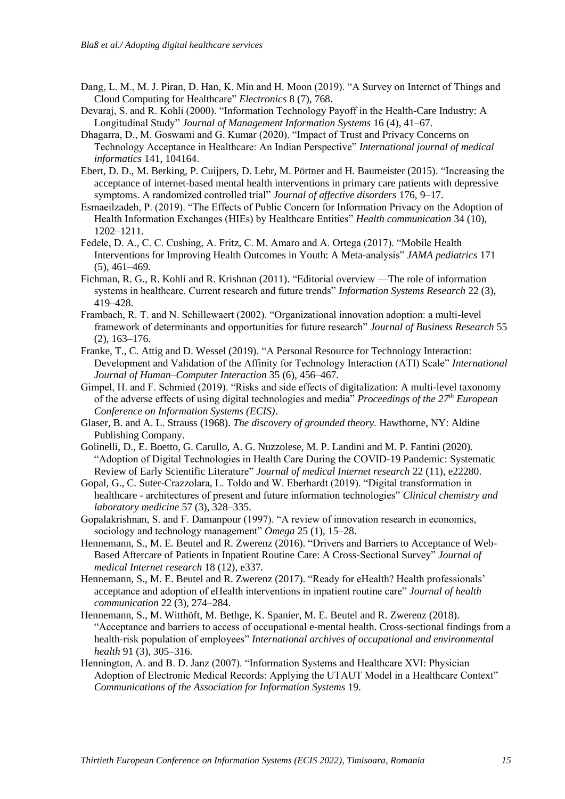- Dang, L. M., M. J. Piran, D. Han, K. Min and H. Moon (2019). "A Survey on Internet of Things and Cloud Computing for Healthcare" *Electronics* 8 (7), 768.
- Devaraj, S. and R. Kohli (2000). "Information Technology Payoff in the Health-Care Industry: A Longitudinal Study" *Journal of Management Information Systems* 16 (4), 41–67.
- Dhagarra, D., M. Goswami and G. Kumar (2020). "Impact of Trust and Privacy Concerns on Technology Acceptance in Healthcare: An Indian Perspective" *International journal of medical informatics* 141, 104164.
- Ebert, D. D., M. Berking, P. Cuijpers, D. Lehr, M. Pörtner and H. Baumeister (2015). "Increasing the acceptance of internet-based mental health interventions in primary care patients with depressive symptoms. A randomized controlled trial" *Journal of affective disorders* 176, 9–17.
- Esmaeilzadeh, P. (2019). "The Effects of Public Concern for Information Privacy on the Adoption of Health Information Exchanges (HIEs) by Healthcare Entities" *Health communication* 34 (10), 1202–1211.
- Fedele, D. A., C. C. Cushing, A. Fritz, C. M. Amaro and A. Ortega (2017). "Mobile Health Interventions for Improving Health Outcomes in Youth: A Meta-analysis" *JAMA pediatrics* 171 (5), 461–469.
- Fichman, R. G., R. Kohli and R. Krishnan (2011). "Editorial overview —The role of information systems in healthcare. Current research and future trends" *Information Systems Research* 22 (3), 419–428.
- Frambach, R. T. and N. Schillewaert (2002). "Organizational innovation adoption: a multi-level framework of determinants and opportunities for future research" *Journal of Business Research* 55 (2), 163–176.
- Franke, T., C. Attig and D. Wessel (2019). "A Personal Resource for Technology Interaction: Development and Validation of the Affinity for Technology Interaction (ATI) Scale" *International Journal of Human–Computer Interaction* 35 (6), 456–467.
- Gimpel, H. and F. Schmied (2019). "Risks and side effects of digitalization: A multi-level taxonomy of the adverse effects of using digital technologies and media" *Proceedings of the 27th European Conference on Information Systems (ECIS)*.
- Glaser, B. and A. L. Strauss (1968). *The discovery of grounded theory.* Hawthorne, NY: Aldine Publishing Company.
- Golinelli, D., E. Boetto, G. Carullo, A. G. Nuzzolese, M. P. Landini and M. P. Fantini (2020). "Adoption of Digital Technologies in Health Care During the COVID-19 Pandemic: Systematic Review of Early Scientific Literature" *Journal of medical Internet research* 22 (11), e22280.
- Gopal, G., C. Suter-Crazzolara, L. Toldo and W. Eberhardt (2019). "Digital transformation in healthcare - architectures of present and future information technologies" *Clinical chemistry and laboratory medicine* 57 (3), 328–335.
- Gopalakrishnan, S. and F. Damanpour (1997). "A review of innovation research in economics, sociology and technology management" *Omega* 25 (1), 15–28.
- Hennemann, S., M. E. Beutel and R. Zwerenz (2016). "Drivers and Barriers to Acceptance of Web-Based Aftercare of Patients in Inpatient Routine Care: A Cross-Sectional Survey" *Journal of medical Internet research* 18 (12), e337.
- Hennemann, S., M. E. Beutel and R. Zwerenz (2017). "Ready for eHealth? Health professionals' acceptance and adoption of eHealth interventions in inpatient routine care" *Journal of health communication* 22 (3), 274–284.
- Hennemann, S., M. Witthöft, M. Bethge, K. Spanier, M. E. Beutel and R. Zwerenz (2018). "Acceptance and barriers to access of occupational e-mental health. Cross-sectional findings from a health-risk population of employees" *International archives of occupational and environmental health* 91 (3), 305–316.
- Hennington, A. and B. D. Janz (2007). "Information Systems and Healthcare XVI: Physician Adoption of Electronic Medical Records: Applying the UTAUT Model in a Healthcare Context" *Communications of the Association for Information Systems* 19.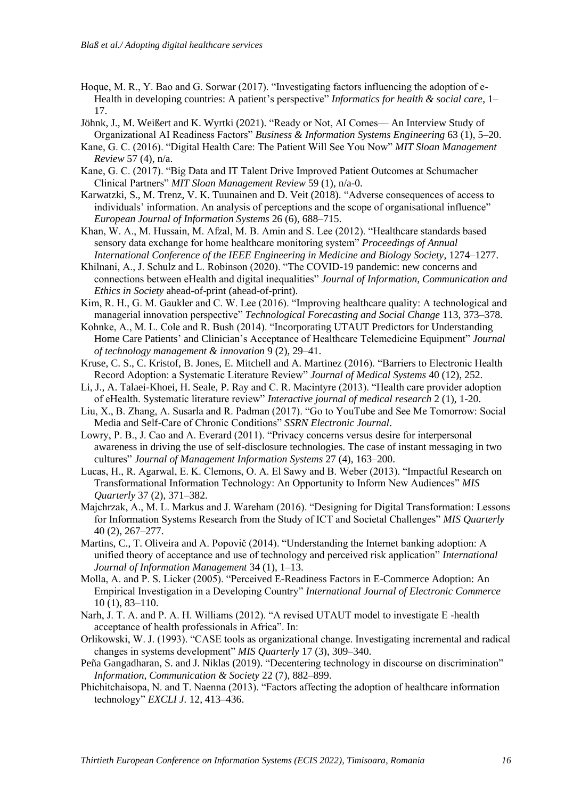- Hoque, M. R., Y. Bao and G. Sorwar (2017). "Investigating factors influencing the adoption of e-Health in developing countries: A patient's perspective" *Informatics for health & social care*, 1– 17.
- Jöhnk, J., M. Weißert and K. Wyrtki (2021). "Ready or Not, AI Comes— An Interview Study of Organizational AI Readiness Factors" *Business & Information Systems Engineering* 63 (1), 5–20.
- Kane, G. C. (2016). "Digital Health Care: The Patient Will See You Now" *MIT Sloan Management Review* 57 (4), n/a.
- Kane, G. C. (2017). "Big Data and IT Talent Drive Improved Patient Outcomes at Schumacher Clinical Partners" *MIT Sloan Management Review* 59 (1), n/a-0.
- Karwatzki, S., M. Trenz, V. K. Tuunainen and D. Veit (2018). "Adverse consequences of access to individuals' information. An analysis of perceptions and the scope of organisational influence" *European Journal of Information Systems* 26 (6), 688–715.
- Khan, W. A., M. Hussain, M. Afzal, M. B. Amin and S. Lee (2012). "Healthcare standards based sensory data exchange for home healthcare monitoring system" *Proceedings of Annual International Conference of the IEEE Engineering in Medicine and Biology Society*, 1274–1277.
- Khilnani, A., J. Schulz and L. Robinson (2020). "The COVID-19 pandemic: new concerns and connections between eHealth and digital inequalities" *Journal of Information, Communication and Ethics in Society* ahead-of-print (ahead-of-print).
- Kim, R. H., G. M. Gaukler and C. W. Lee (2016). "Improving healthcare quality: A technological and managerial innovation perspective" *Technological Forecasting and Social Change* 113, 373–378.
- Kohnke, A., M. L. Cole and R. Bush (2014). "Incorporating UTAUT Predictors for Understanding Home Care Patients' and Clinician's Acceptance of Healthcare Telemedicine Equipment" *Journal of technology management & innovation* 9 (2), 29–41.
- Kruse, C. S., C. Kristof, B. Jones, E. Mitchell and A. Martinez (2016). "Barriers to Electronic Health Record Adoption: a Systematic Literature Review" *Journal of Medical Systems* 40 (12), 252.
- Li, J., A. Talaei-Khoei, H. Seale, P. Ray and C. R. Macintyre (2013). "Health care provider adoption of eHealth. Systematic literature review" *Interactive journal of medical research* 2 (1), 1-20.
- Liu, X., B. Zhang, A. Susarla and R. Padman (2017). "Go to YouTube and See Me Tomorrow: Social Media and Self-Care of Chronic Conditions" *SSRN Electronic Journal*.
- Lowry, P. B., J. Cao and A. Everard (2011). "Privacy concerns versus desire for interpersonal awareness in driving the use of self-disclosure technologies. The case of instant messaging in two cultures" *Journal of Management Information Systems* 27 (4), 163–200.
- Lucas, H., R. Agarwal, E. K. Clemons, O. A. El Sawy and B. Weber (2013). "Impactful Research on Transformational Information Technology: An Opportunity to Inform New Audiences" *MIS Quarterly* 37 (2), 371–382.
- Majchrzak, A., M. L. Markus and J. Wareham (2016). "Designing for Digital Transformation: Lessons for Information Systems Research from the Study of ICT and Societal Challenges" *MIS Quarterly* 40 (2), 267–277.
- Martins, C., T. Oliveira and A. Popovič (2014). "Understanding the Internet banking adoption: A unified theory of acceptance and use of technology and perceived risk application" *International Journal of Information Management* 34 (1), 1–13.
- Molla, A. and P. S. Licker (2005). "Perceived E-Readiness Factors in E-Commerce Adoption: An Empirical Investigation in a Developing Country" *International Journal of Electronic Commerce* 10 (1), 83–110.
- Narh, J. T. A. and P. A. H. Williams (2012). "A revised UTAUT model to investigate E -health acceptance of health professionals in Africa". In:
- Orlikowski, W. J. (1993). "CASE tools as organizational change. Investigating incremental and radical changes in systems development" *MIS Quarterly* 17 (3), 309–340.
- Peña Gangadharan, S. and J. Niklas (2019). "Decentering technology in discourse on discrimination" *Information, Communication & Society* 22 (7), 882–899.
- Phichitchaisopa, N. and T. Naenna (2013). "Factors affecting the adoption of healthcare information technology" *EXCLI J.* 12, 413–436.